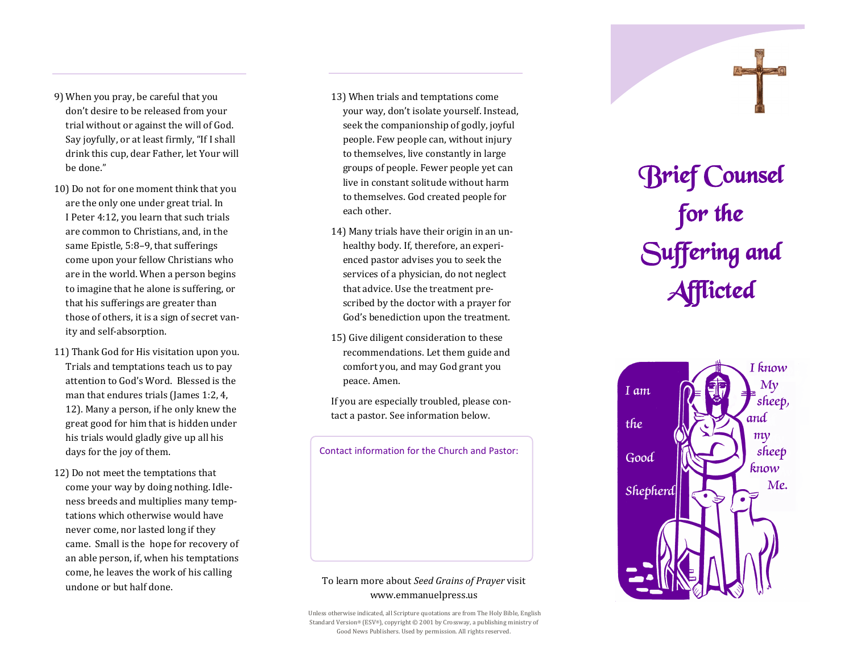- 9) When you pray, be careful that you don't desire to be released from your trial without or against the will of God. Say joyfully, or at least firmly, "If I shall drink this cup, dear Father, let Your will be done."
- 10) Do not for one moment think that you are the only one under great trial. In I Peter 4:12, you learn that such trials are common to Christians, and, in the same Epistle, 5:8–9, that sufferings come upon your fellow Christians who are in the world. When a person begins to imagine that he alone is suffering, or that his sufferings are greater than those of others, it is a sign of secret vanity and self-absorption.
- 11) Thank God for His visitation upon you. Trials and temptations teach us to pay attention to God's Word. Blessed is the man that endures trials (James 1:2, 4, 12). Many a person, if he only knew the great good for him that is hidden under his trials would gladly give up all his days for the joy of them.
- 12) Do not meet the temptations that come your way by doing nothing. Idleness breeds and multiplies many temptations which otherwise would have never come, nor lasted long if they came. Small is the hope for recovery of an able person, if, when his temptations come, he leaves the work of his calling undone or but half done.
- 13) When trials and temptations come your way, don't isolate yourself. Instead, seek the companionship of godly, joyful people. Few people can, without injury to themselves, live constantly in large groups of people. Fewer people yet can live in constant solitude without harm to themselves. God created people for each other.
- 14) Many trials have their origin in an unhealthy body. If, therefore, an experienced pastor advises you to seek the services of a physician, do not neglect that advice. Use the treatment prescribed by the doctor with a prayer for God's benediction upon the treatment.
- 15) Give diligent consideration to these recommendations. Let them guide and comfort you, and may God grant you peace. Amen.

If you are especially troubled, please contact a pastor. See information below.

Contact information for the Church and Pastor:

## To learn more about *Seed Grains of Prayer* visit www.emmanuelpress.us

Unless otherwise indicated, all Scripture quotations are from The Holy Bible, English Standard Version® (ESV®), copyright © 2001 by Crossway, a publishing ministry of Good News Publishers. Used by permission. All rights reserved.

## Brief Counsel for the Suffering and Afflicted